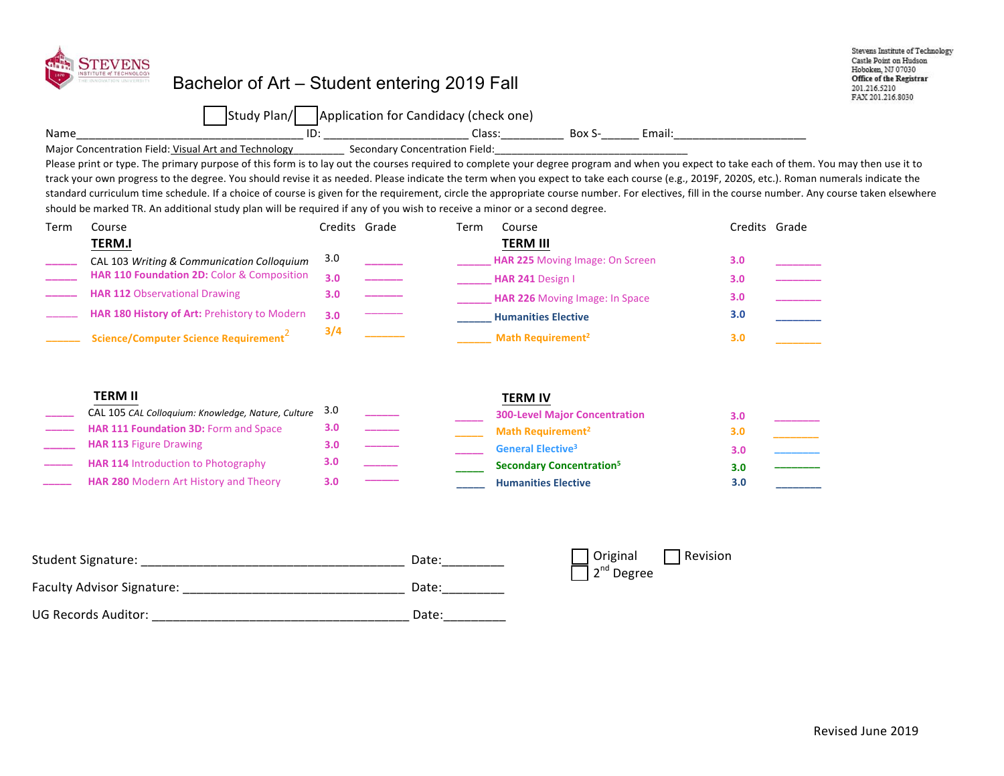| Name | <b>STEVENS</b><br>INSTITUTE of TECHNOLOGY<br>Bachelor of Art – Student entering 2019 Fall<br>Study Plan/   Application for Candidacy (check one)<br>Major Concentration Field: Visual Art and Technology<br>Please print or type. The primary purpose of this form is to lay out the courses required to complete your degree program and when you expect to take each of them. You may then use it to<br>track your own progress to the degree. You should revise it as needed. Please indicate the term when you expect to take each course (e.g., 2019F, 2020S, etc.). Roman numerals indicate the<br>standard curriculum time schedule. If a choice of course is given for the requirement, circle the appropriate course number. For electives, fill in the course number. Any course taken elsewhere<br>should be marked TR. An additional study plan will be required if any of you wish to receive a minor or a second degree. |                                                  | <b>Secondary Concentration Field:</b> |                                                                                                                                                                                                            |                                                                        | Stevens Institute of Technology<br>Castle Point on Hudson<br>Hoboken, NJ 07030<br>Office of the Registrar<br>201.216.5210<br>FAX 201.216.8030                                                                                                         |  |
|------|----------------------------------------------------------------------------------------------------------------------------------------------------------------------------------------------------------------------------------------------------------------------------------------------------------------------------------------------------------------------------------------------------------------------------------------------------------------------------------------------------------------------------------------------------------------------------------------------------------------------------------------------------------------------------------------------------------------------------------------------------------------------------------------------------------------------------------------------------------------------------------------------------------------------------------------|--------------------------------------------------|---------------------------------------|------------------------------------------------------------------------------------------------------------------------------------------------------------------------------------------------------------|------------------------------------------------------------------------|-------------------------------------------------------------------------------------------------------------------------------------------------------------------------------------------------------------------------------------------------------|--|
| Term | Course<br><b>TERM.I</b><br>CAL 103 Writing & Communication Colloquium<br>HAR 110 Foundation 2D: Color & Composition<br><b>HAR 112 Observational Drawing</b><br>HAR 180 History of Art: Prehistory to Modern<br>Science/Computer Science Requirement <sup>2</sup>                                                                                                                                                                                                                                                                                                                                                                                                                                                                                                                                                                                                                                                                       | Credits Grade<br>3.0<br>3.0<br>3.0<br>3.0<br>3/4 | Term                                  | Course<br><b>TERM III</b><br>HAR 225 Moving Image: On Screen<br>HAR 241 Design I<br>HAR 226 Moving Image: In Space<br><b>Humanities Elective</b><br>Math Requirement <sup>2</sup>                          | 3.0<br>3.0 <sub>2</sub><br>3.0 <sub>1</sub><br>3.0<br>3.0              | Credits Grade<br>and a series of the context of the context.<br>The context of the context of the context of the context of the context of the context of the context of the c<br>The context of the context of the context of the context of the con |  |
|      | <b>TERM II</b><br>CAL 105 CAL Colloquium: Knowledge, Nature, Culture<br>HAR 111 Foundation 3D: Form and Space<br><b>HAR 113 Figure Drawing</b><br>HAR 114 Introduction to Photography<br>HAR 280 Modern Art History and Theory                                                                                                                                                                                                                                                                                                                                                                                                                                                                                                                                                                                                                                                                                                         | 3.0<br>3.0<br>3.0<br>3.0<br>3.0                  |                                       | <b>TERM IV</b><br><b>300-Level Major Concentration</b><br>Math Requirement <sup>2</sup><br><b>General Elective<sup>3</sup></b><br><b>Secondary Concentration<sup>5</sup></b><br><b>Humanities Elective</b> | 3.0 <sub>2</sub><br>3.0 <sub>2</sub><br>3.0 <sub>1</sub><br>3.0<br>3.0 |                                                                                                                                                                                                                                                       |  |
|      | <b>Faculty Advisor Signature:</b>                                                                                                                                                                                                                                                                                                                                                                                                                                                                                                                                                                                                                                                                                                                                                                                                                                                                                                      |                                                  | Date:<br>Date:                        | Original<br>2 <sup>nd</sup> Degree                                                                                                                                                                         | Revision                                                               |                                                                                                                                                                                                                                                       |  |

UG Records Auditor: \_\_\_\_\_\_\_\_\_\_\_\_\_\_\_\_\_\_\_\_\_\_\_\_\_\_\_\_\_\_\_\_\_\_\_\_\_ Date:\_\_\_\_\_\_\_\_\_